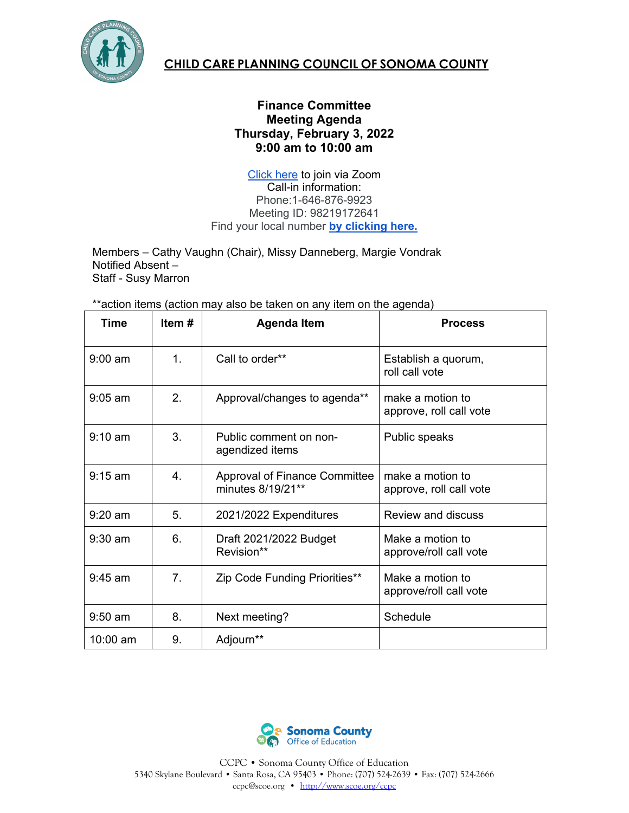

## **CHILD CARE PLANNING COUNCIL OF SONOMA COUNTY**

## **Finance Committee Meeting Agenda Thursday, February 3, 2022 9:00 am to 10:00 am**

[Click here](https://zoom.us/j/98219172641#success) to join via Zoom Call-in information: Phone:1-646-876-9923 Meeting ID: 98219172641 Find your local number **[by clicking here.](https://zoom.us/u/acEyW3C6K3)**

Members – Cathy Vaughn (Chair), Missy Danneberg, Margie Vondrak Notified Absent – Staff - Susy Marron

\*\*action items (action may also be taken on any item on the agenda)

| Time              | Item # | Agenda Item                                               | <b>Process</b>                              |
|-------------------|--------|-----------------------------------------------------------|---------------------------------------------|
| $9:00 \text{ am}$ | 1.     | Call to order**                                           | Establish a quorum,<br>roll call vote       |
| $9:05$ am         | 2.     | Approval/changes to agenda**                              | make a motion to<br>approve, roll call vote |
| $9:10 \text{ am}$ | 3.     | Public comment on non-<br>agendized items                 | Public speaks                               |
| $9:15$ am         | 4      | <b>Approval of Finance Committee</b><br>minutes 8/19/21** | make a motion to<br>approve, roll call vote |
| $9:20$ am         | 5.     | 2021/2022 Expenditures                                    | <b>Review and discuss</b>                   |
| $9:30$ am         | 6.     | Draft 2021/2022 Budget<br>Revision**                      | Make a motion to<br>approve/roll call vote  |
| $9:45$ am         | 7.     | Zip Code Funding Priorities**                             | Make a motion to<br>approve/roll call vote  |
| $9:50$ am         | 8.     | Next meeting?                                             | Schedule                                    |
| 10:00 am          | 9.     | Adjourn**                                                 |                                             |